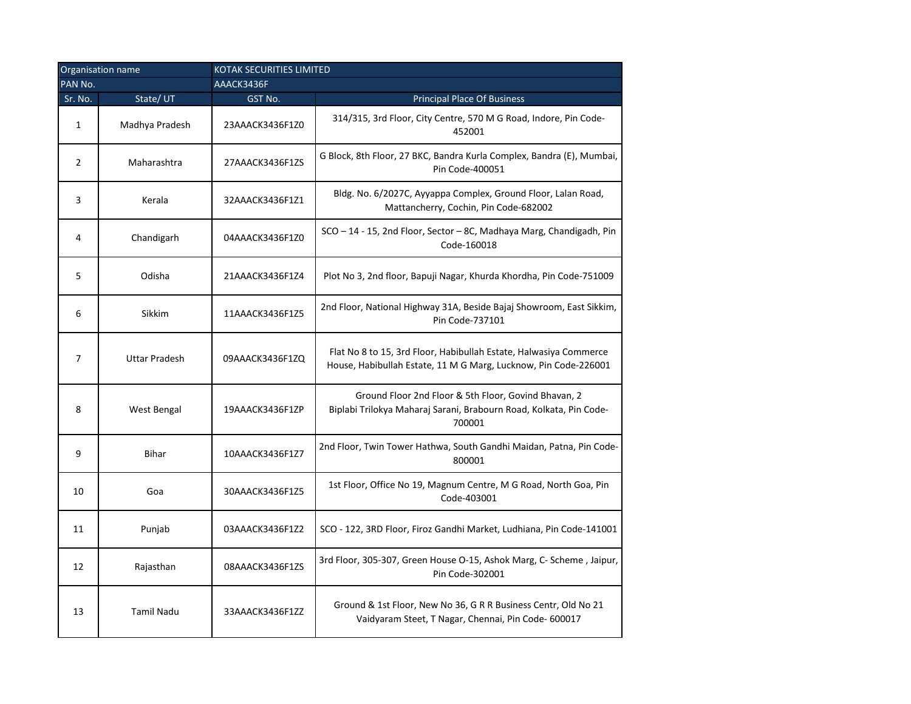| Organisation name |                      | <b>KOTAK SECURITIES LIMITED</b> |                                                                                                                                      |
|-------------------|----------------------|---------------------------------|--------------------------------------------------------------------------------------------------------------------------------------|
| PAN No.           |                      | AAACK3436F                      |                                                                                                                                      |
| Sr. No.           | State/UT             | GST No.                         | <b>Principal Place Of Business</b>                                                                                                   |
| $\mathbf{1}$      | Madhya Pradesh       | 23AAACK3436F1Z0                 | 314/315, 3rd Floor, City Centre, 570 M G Road, Indore, Pin Code-<br>452001                                                           |
| $\overline{2}$    | Maharashtra          | 27AAACK3436F1ZS                 | G Block, 8th Floor, 27 BKC, Bandra Kurla Complex, Bandra (E), Mumbai,<br>Pin Code-400051                                             |
| 3                 | Kerala               | 32AAACK3436F1Z1                 | Bldg. No. 6/2027C, Ayyappa Complex, Ground Floor, Lalan Road,<br>Mattancherry, Cochin, Pin Code-682002                               |
| 4                 | Chandigarh           | 04AAACK3436F1Z0                 | SCO - 14 - 15, 2nd Floor, Sector - 8C, Madhaya Marg, Chandigadh, Pin<br>Code-160018                                                  |
| 5                 | Odisha               | 21AAACK3436F1Z4                 | Plot No 3, 2nd floor, Bapuji Nagar, Khurda Khordha, Pin Code-751009                                                                  |
| 6                 | Sikkim               | 11AAACK3436F1Z5                 | 2nd Floor, National Highway 31A, Beside Bajaj Showroom, East Sikkim,<br>Pin Code-737101                                              |
| 7                 | <b>Uttar Pradesh</b> | 09AAACK3436F1ZQ                 | Flat No 8 to 15, 3rd Floor, Habibullah Estate, Halwasiya Commerce<br>House, Habibullah Estate, 11 M G Marg, Lucknow, Pin Code-226001 |
| 8                 | West Bengal          | 19AAACK3436F1ZP                 | Ground Floor 2nd Floor & 5th Floor, Govind Bhavan, 2<br>Biplabi Trilokya Maharaj Sarani, Brabourn Road, Kolkata, Pin Code-<br>700001 |
| 9                 | <b>Bihar</b>         | 10AAACK3436F1Z7                 | 2nd Floor, Twin Tower Hathwa, South Gandhi Maidan, Patna, Pin Code-<br>800001                                                        |
| 10                | Goa                  | 30AAACK3436F1Z5                 | 1st Floor, Office No 19, Magnum Centre, M G Road, North Goa, Pin<br>Code-403001                                                      |
| 11                | Punjab               | 03AAACK3436F1Z2                 | SCO - 122, 3RD Floor, Firoz Gandhi Market, Ludhiana, Pin Code-141001                                                                 |
| 12                | Rajasthan            | 08AAACK3436F1ZS                 | 3rd Floor, 305-307, Green House O-15, Ashok Marg, C- Scheme, Jaipur,<br>Pin Code-302001                                              |
| 13                | <b>Tamil Nadu</b>    | 33AAACK3436F1ZZ                 | Ground & 1st Floor, New No 36, G R R Business Centr, Old No 21<br>Vaidyaram Steet, T Nagar, Chennai, Pin Code- 600017                |